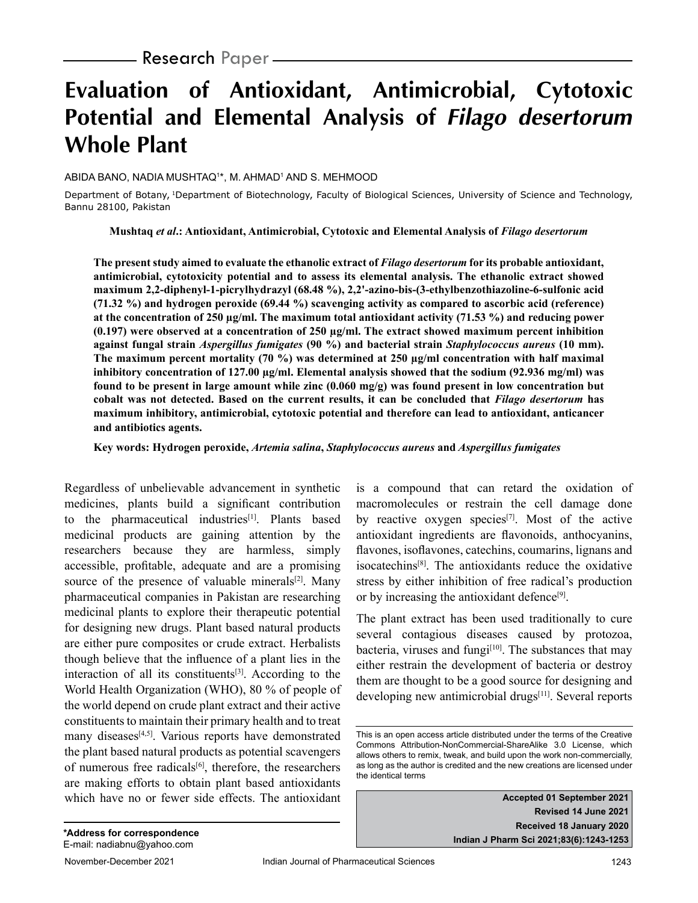# **Evaluation of Antioxidant, Antimicrobial, Cytotoxic Potential and Elemental Analysis of Filago desertorum Whole Plant**

#### ABIDA BANO, NADIA MUSHTAQ1 \*, M. AHMAD1 AND S. MEHMOOD

Department of Botany, 1Department of Biotechnology, Faculty of Biological Sciences, University of Science and Technology, Bannu 28100, Pakistan

**Mushtaq** *et al***.: Antioxidant, Antimicrobial, Cytotoxic and Elemental Analysis of** *Filago desertorum*

**The present study aimed to evaluate the ethanolic extract of** *Filago desertorum* **for its probable antioxidant, antimicrobial, cytotoxicity potential and to assess its elemental analysis. The ethanolic extract showed maximum 2,2-diphenyl-1-picrylhydrazyl (68.48 %), 2,2'-azino-bis-(3-ethylbenzothiazoline-6-sulfonic acid (71.32 %) and hydrogen peroxide (69.44 %) scavenging activity as compared to ascorbic acid (reference) at the concentration of 250 µg/ml. The maximum total antioxidant activity (71.53 %) and reducing power (0.197) were observed at a concentration of 250 µg/ml. The extract showed maximum percent inhibition against fungal strain** *Aspergillus fumigates* **(90 %) and bacterial strain** *Staphylococcus aureus* **(10 mm). The maximum percent mortality (70 %) was determined at 250 µg/ml concentration with half maximal inhibitory concentration of 127.00 µg/ml. Elemental analysis showed that the sodium (92.936 mg/ml) was found to be present in large amount while zinc (0.060 mg/g) was found present in low concentration but cobalt was not detected. Based on the current results, it can be concluded that** *Filago desertorum* **has maximum inhibitory, antimicrobial, cytotoxic potential and therefore can lead to antioxidant, anticancer and antibiotics agents.**

**Key words: Hydrogen peroxide,** *Artemia salina***,** *Staphylococcus aureus* **and** *Aspergillus fumigates*

Regardless of unbelievable advancement in synthetic medicines, plants build a significant contribution to the pharmaceutical industries<sup>[1]</sup>. Plants based medicinal products are gaining attention by the researchers because they are harmless, simply accessible, profitable, adequate and are a promising source of the presence of valuable minerals $[2]$ . Many pharmaceutical companies in Pakistan are researching medicinal plants to explore their therapeutic potential for designing new drugs. Plant based natural products are either pure composites or crude extract. Herbalists though believe that the influence of a plant lies in the interaction of all its constituents $[3]$ . According to the World Health Organization (WHO), 80 % of people of the world depend on crude plant extract and their active constituents to maintain their primary health and to treat many diseases<sup>[4,5]</sup>. Various reports have demonstrated the plant based natural products as potential scavengers of numerous free radicals $[6]$ , therefore, the researchers are making efforts to obtain plant based antioxidants which have no or fewer side effects. The antioxidant

is a compound that can retard the oxidation of macromolecules or restrain the cell damage done by reactive oxygen species<sup>[7]</sup>. Most of the active antioxidant ingredients are flavonoids, anthocyanins, flavones, isoflavones, catechins, coumarins, lignans and isocatechins[8]. The antioxidants reduce the oxidative stress by either inhibition of free radical's production or by increasing the antioxidant defence<sup>[9]</sup>.

The plant extract has been used traditionally to cure several contagious diseases caused by protozoa, bacteria, viruses and fungi $[10]$ . The substances that may either restrain the development of bacteria or destroy them are thought to be a good source for designing and developing new antimicrobial drugs<sup>[11]</sup>. Several reports

**Accepted 01 September 2021 Revised 14 June 2021 Received 18 January 2020 Indian J Pharm Sci 2021;83(6):1243-1253**

This is an open access article distributed under the terms of the Creative Commons Attribution-NonCommercial-ShareAlike 3.0 License, which allows others to remix, tweak, and build upon the work non-commercially, as long as the author is credited and the new creations are licensed under the identical terms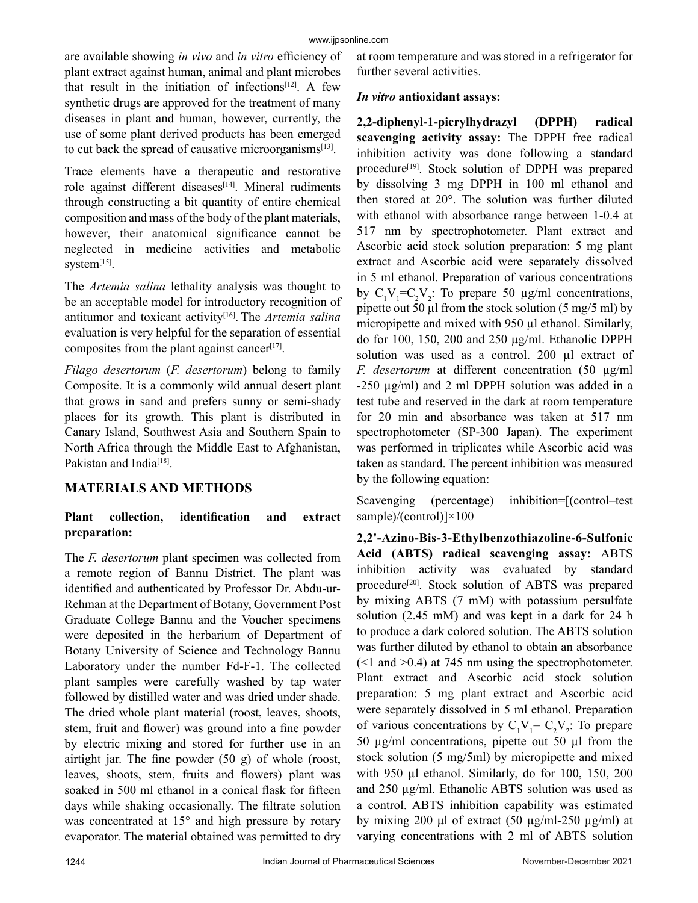are available showing *in vivo* and *in vitro* efficiency of plant extract against human, animal and plant microbes that result in the initiation of infections<sup>[12]</sup>. A few synthetic drugs are approved for the treatment of many diseases in plant and human, however, currently, the use of some plant derived products has been emerged to cut back the spread of causative microorganisms<sup>[13]</sup>.

Trace elements have a therapeutic and restorative role against different diseases<sup>[14]</sup>. Mineral rudiments through constructing a bit quantity of entire chemical composition and mass of the body of the plant materials, however, their anatomical significance cannot be neglected in medicine activities and metabolic system<sup>[15]</sup>.

The *Artemia salina* lethality analysis was thought to be an acceptable model for introductory recognition of antitumor and toxicant activity[16]. The *Artemia salina* evaluation is very helpful for the separation of essential composites from the plant against cancer<sup>[17]</sup>.

*Filago desertorum* (*F. desertorum*) belong to family Composite. It is a commonly wild annual desert plant that grows in sand and prefers sunny or semi-shady places for its growth. This plant is distributed in Canary Island, Southwest Asia and Southern Spain to North Africa through the Middle East to Afghanistan, Pakistan and India<sup>[18]</sup>.

# **MATERIALS AND METHODS**

## **Plant collection, identification and extract preparation:**

The *F. desertorum* plant specimen was collected from a remote region of Bannu District. The plant was identified and authenticated by Professor Dr. Abdu-ur-Rehman at the Department of Botany, Government Post Graduate College Bannu and the Voucher specimens were deposited in the herbarium of Department of Botany University of Science and Technology Bannu Laboratory under the number Fd-F-1. The collected plant samples were carefully washed by tap water followed by distilled water and was dried under shade. The dried whole plant material (roost, leaves, shoots, stem, fruit and flower) was ground into a fine powder by electric mixing and stored for further use in an airtight jar. The fine powder (50 g) of whole (roost, leaves, shoots, stem, fruits and flowers) plant was soaked in 500 ml ethanol in a conical flask for fifteen days while shaking occasionally. The filtrate solution was concentrated at 15° and high pressure by rotary evaporator. The material obtained was permitted to dry at room temperature and was stored in a refrigerator for further several activities.

## *In vitro* **antioxidant assays:**

**2,2-diphenyl-1-picrylhydrazyl (DPPH) radical scavenging activity assay:** The DPPH free radical inhibition activity was done following a standard procedure<sup>[19]</sup>. Stock solution of DPPH was prepared by dissolving 3 mg DPPH in 100 ml ethanol and then stored at 20°. The solution was further diluted with ethanol with absorbance range between 1-0.4 at 517 nm by spectrophotometer. Plant extract and Ascorbic acid stock solution preparation: 5 mg plant extract and Ascorbic acid were separately dissolved in 5 ml ethanol. Preparation of various concentrations by  $C_1V_1 = C_2V_2$ : To prepare 50  $\mu$ g/ml concentrations, pipette out 50  $\mu$ l from the stock solution (5 mg/5 ml) by micropipette and mixed with 950 µl ethanol. Similarly, do for 100, 150, 200 and 250 µg/ml. Ethanolic DPPH solution was used as a control. 200 µl extract of *F. desertorum* at different concentration (50 µg/ml -250 µg/ml) and 2 ml DPPH solution was added in a test tube and reserved in the dark at room temperature for 20 min and absorbance was taken at 517 nm spectrophotometer (SP-300 Japan). The experiment was performed in triplicates while Ascorbic acid was taken as standard. The percent inhibition was measured by the following equation:

Scavenging (percentage) inhibition=[(control–test sample)/(control)]×100

**2,2'-Azino-Bis-3-Ethylbenzothiazoline-6-Sulfonic Acid (ABTS) radical scavenging assay:** ABTS inhibition activity was evaluated by standard procedure<sup>[20]</sup>. Stock solution of ABTS was prepared by mixing ABTS (7 mM) with potassium persulfate solution (2.45 mM) and was kept in a dark for 24 h to produce a dark colored solution. The ABTS solution was further diluted by ethanol to obtain an absorbance  $(\leq 1$  and  $\geq 0.4$ ) at 745 nm using the spectrophotometer. Plant extract and Ascorbic acid stock solution preparation: 5 mg plant extract and Ascorbic acid were separately dissolved in 5 ml ethanol. Preparation of various concentrations by  $C_1V_1 = C_2V_2$ . To prepare 50 µg/ml concentrations, pipette out 50 µl from the stock solution (5 mg/5ml) by micropipette and mixed with 950 µl ethanol. Similarly, do for 100, 150, 200 and 250 µg/ml. Ethanolic ABTS solution was used as a control. ABTS inhibition capability was estimated by mixing 200 μl of extract (50 µg/ml-250 µg/ml) at varying concentrations with 2 ml of ABTS solution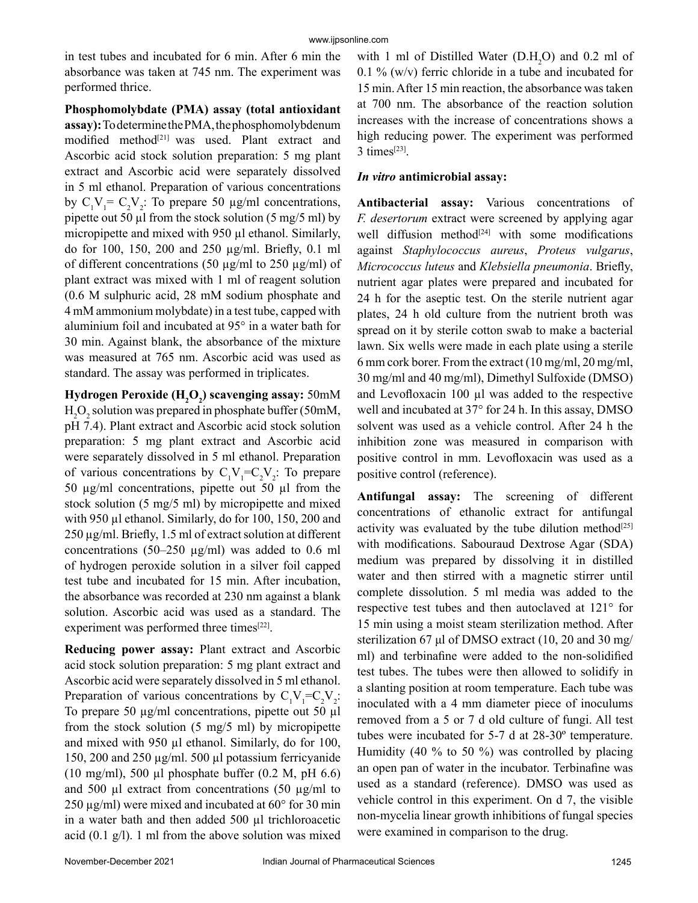in test tubes and incubated for 6 min. After 6 min the absorbance was taken at 745 nm. The experiment was performed thrice.

**Phosphomolybdate (PMA) assay (total antioxidant assay):** To determine the PMA, the phosphomolybdenum modified method<sup>[21]</sup> was used. Plant extract and Ascorbic acid stock solution preparation: 5 mg plant extract and Ascorbic acid were separately dissolved in 5 ml ethanol. Preparation of various concentrations by  $C_1V_1 = C_2V_2$ : To prepare 50  $\mu$ g/ml concentrations, pipette out 50  $\mu$ l from the stock solution (5 mg/5 ml) by micropipette and mixed with 950 µl ethanol. Similarly, do for 100, 150, 200 and 250 µg/ml. Briefly, 0.1 ml of different concentrations (50  $\mu$ g/ml to 250  $\mu$ g/ml) of plant extract was mixed with 1 ml of reagent solution (0.6 M sulphuric acid, 28 mM sodium phosphate and 4 mM ammonium molybdate) in a test tube, capped with aluminium foil and incubated at 95° in a water bath for 30 min. Against blank, the absorbance of the mixture was measured at 765 nm. Ascorbic acid was used as standard. The assay was performed in triplicates.

**Hydrogen Peroxide (H2 O2 ) scavenging assay:** 50mM  $H_2O_2$  solution was prepared in phosphate buffer (50mM, pH 7.4). Plant extract and Ascorbic acid stock solution preparation: 5 mg plant extract and Ascorbic acid were separately dissolved in 5 ml ethanol. Preparation of various concentrations by  $C_1V_1 = C_2V_2$ : To prepare 50 µg/ml concentrations, pipette out 50 µl from the stock solution (5 mg/5 ml) by micropipette and mixed with 950 µl ethanol. Similarly, do for 100, 150, 200 and 250 µg/ml. Briefly, 1.5 ml of extract solution at different concentrations (50–250  $\mu$ g/ml) was added to 0.6 ml of hydrogen peroxide solution in a silver foil capped test tube and incubated for 15 min. After incubation, the absorbance was recorded at 230 nm against a blank solution. Ascorbic acid was used as a standard. The experiment was performed three times<sup>[22]</sup>.

**Reducing power assay:** Plant extract and Ascorbic acid stock solution preparation: 5 mg plant extract and Ascorbic acid were separately dissolved in 5 ml ethanol. Preparation of various concentrations by  $C_1V_1 = C_2V_2$ : To prepare 50 µg/ml concentrations, pipette out 50 µl from the stock solution (5 mg/5 ml) by micropipette and mixed with 950 µl ethanol. Similarly, do for 100, 150, 200 and 250 µg/ml. 500 µl potassium ferricyanide (10 mg/ml), 500 µl phosphate buffer  $(0.2 \text{ M}, \text{pH } 6.6)$ and 500  $\mu$ l extract from concentrations (50  $\mu$ g/ml to  $250 \,\mu g/ml$ ) were mixed and incubated at  $60^{\circ}$  for 30 min in a water bath and then added 500 µl trichloroacetic acid (0.1 g/l). 1 ml from the above solution was mixed

with 1 ml of Distilled Water  $(D.H_2O)$  and 0.2 ml of 0.1 % (w/v) ferric chloride in a tube and incubated for 15 min. After 15 min reaction, the absorbance was taken at 700 nm. The absorbance of the reaction solution increases with the increase of concentrations shows a high reducing power. The experiment was performed 3 times[23].

#### *In vitro* **antimicrobial assay:**

**Antibacterial assay:** Various concentrations of *F. desertorum* extract were screened by applying agar well diffusion method<sup>[24]</sup> with some modifications against *Staphylococcus aureus*, *Proteus vulgarus*, *Micrococcus luteus* and *Klebsiella pneumonia*. Briefly, nutrient agar plates were prepared and incubated for 24 h for the aseptic test. On the sterile nutrient agar plates, 24 h old culture from the nutrient broth was spread on it by sterile cotton swab to make a bacterial lawn. Six wells were made in each plate using a sterile 6 mm cork borer. From the extract (10 mg/ml, 20 mg/ml, 30 mg/ml and 40 mg/ml), Dimethyl Sulfoxide (DMSO) and Levofloxacin 100 µl was added to the respective well and incubated at 37° for 24 h. In this assay, DMSO solvent was used as a vehicle control. After 24 h the inhibition zone was measured in comparison with positive control in mm. Levofloxacin was used as a positive control (reference).

**Antifungal assay:** The screening of different concentrations of ethanolic extract for antifungal activity was evaluated by the tube dilution method<sup>[25]</sup> with modifications. Sabouraud Dextrose Agar (SDA) medium was prepared by dissolving it in distilled water and then stirred with a magnetic stirrer until complete dissolution. 5 ml media was added to the respective test tubes and then autoclaved at 121° for 15 min using a moist steam sterilization method. After sterilization 67 μl of DMSO extract (10, 20 and 30 mg/ ml) and terbinafine were added to the non-solidified test tubes. The tubes were then allowed to solidify in a slanting position at room temperature. Each tube was inoculated with a 4 mm diameter piece of inoculums removed from a 5 or 7 d old culture of fungi. All test tubes were incubated for 5-7 d at 28-30º temperature. Humidity (40 % to 50 %) was controlled by placing an open pan of water in the incubator. Terbinafine was used as a standard (reference). DMSO was used as vehicle control in this experiment. On d 7, the visible non-mycelia linear growth inhibitions of fungal species were examined in comparison to the drug.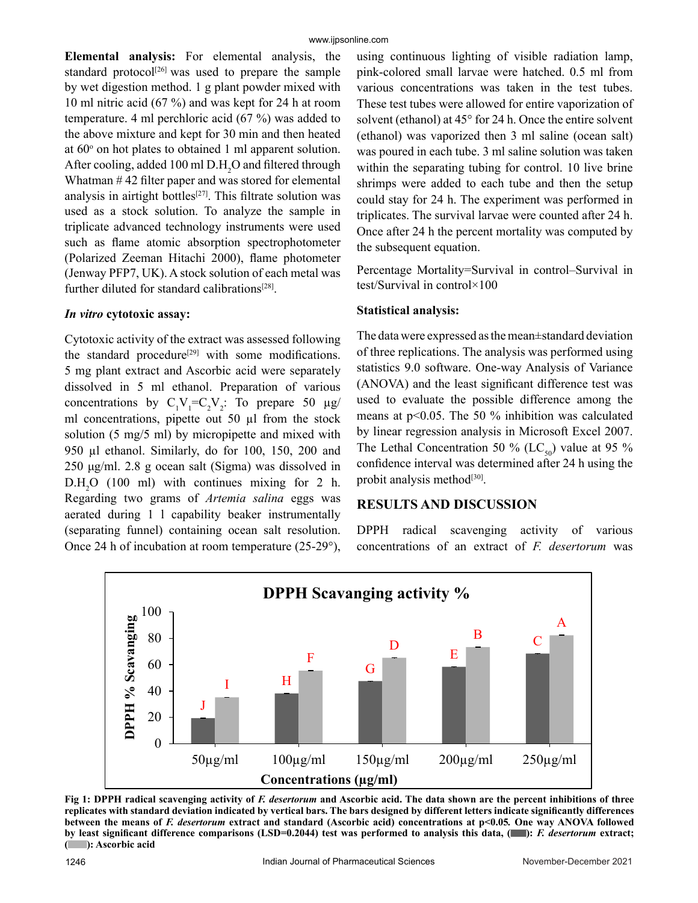**Elemental analysis:** For elemental analysis, the standard protocol $[26]$  was used to prepare the sample by wet digestion method. 1 g plant powder mixed with 10 ml nitric acid (67 %) and was kept for 24 h at room temperature. 4 ml perchloric acid (67 %) was added to the above mixture and kept for 30 min and then heated at 60<sup>o</sup> on hot plates to obtained 1 ml apparent solution. After cooling, added 100 ml  $\text{D.H}_2\text{O}$  and filtered through Whatman # 42 filter paper and was stored for elemental analysis in airtight bottles<sup>[27]</sup>. This filtrate solution was used as a stock solution. To analyze the sample in triplicate advanced technology instruments were used such as flame atomic absorption spectrophotometer (Polarized Zeeman Hitachi 2000), flame photometer (Jenway PFP7, UK). A stock solution of each metal was further diluted for standard calibrations<sup>[28]</sup>.

#### *In vitro* **cytotoxic assay:**

Cytotoxic activity of the extract was assessed following the standard procedure<sup>[29]</sup> with some modifications. 5 mg plant extract and Ascorbic acid were separately dissolved in 5 ml ethanol. Preparation of various concentrations by  $C_1V_1 = C_2V_2$ : To prepare 50  $\mu$ g/ ml concentrations, pipette out 50 µl from the stock solution (5 mg/5 ml) by micropipette and mixed with 950 µl ethanol. Similarly, do for 100, 150, 200 and 250 μg/ml. 2.8 g ocean salt (Sigma) was dissolved in  $D.H<sub>2</sub>O$  (100 ml) with continues mixing for 2 h. Regarding two grams of *Artemia salina* eggs was aerated during 1 l capability beaker instrumentally (separating funnel) containing ocean salt resolution. Once 24 h of incubation at room temperature (25-29°),

using continuous lighting of visible radiation lamp, pink-colored small larvae were hatched. 0.5 ml from various concentrations was taken in the test tubes. These test tubes were allowed for entire vaporization of solvent (ethanol) at 45° for 24 h. Once the entire solvent (ethanol) was vaporized then 3 ml saline (ocean salt) was poured in each tube. 3 ml saline solution was taken within the separating tubing for control. 10 live brine shrimps were added to each tube and then the setup could stay for 24 h. The experiment was performed in triplicates. The survival larvae were counted after 24 h. Once after 24 h the percent mortality was computed by the subsequent equation.

Percentage Mortality=Survival in control–Survival in test/Survival in control×100

## **Statistical analysis:**

The data were expressed as the mean±standard deviation of three replications. The analysis was performed using statistics 9.0 software. One-way Analysis of Variance (ANOVA) and the least significant difference test was used to evaluate the possible difference among the means at p˂0.05. The 50 % inhibition was calculated by linear regression analysis in Microsoft Excel 2007. The Lethal Concentration 50 % (LC<sub>50</sub>) value at 95 % confidence interval was determined after 24 h using the probit analysis method<sup>[30]</sup>.

## **RESULTS AND DISCUSSION**

DPPH radical scavenging activity of various concentrations of an extract of *F. desertorum* was



Fig 1: DPPH radical scavenging activity of *F. desertorum* and Ascorbic acid. The data shown are the percent inhibitions of three **replicates with standard deviation indicated by vertical bars. The bars designed by different letters indicate significantly differences between the means of** *F. desertorum* **extract and standard (Ascorbic acid) concentrations at p˂0.05***.* **One way ANOVA followed by least significant difference comparisons (LSD=0.2044) test was performed to analysis this data, ( ):** *F. desertorum* **extract; ( ): Ascorbic acid**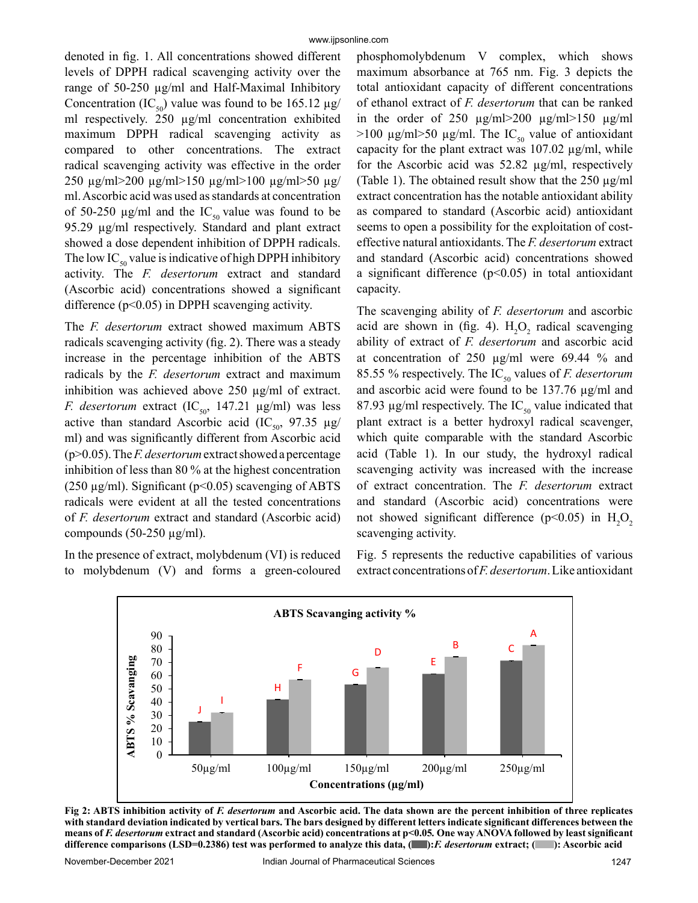denoted in fig. 1. All concentrations showed different levels of DPPH radical scavenging activity over the range of 50-250 µg/ml and Half-Maximal Inhibitory Concentration (IC<sub>50</sub>) value was found to be 165.12  $\mu$ g/ ml respectively. 250 µg/ml concentration exhibited maximum DPPH radical scavenging activity as compared to other concentrations. The extract radical scavenging activity was effective in the order 250 µg/ml>200 µg/ml>150 µg/ml>100 µg/ml>50 µg/ ml. Ascorbic acid was used as standards at concentration of 50-250  $\mu$ g/ml and the IC<sub>50</sub> value was found to be 95.29 µg/ml respectively. Standard and plant extract showed a dose dependent inhibition of DPPH radicals. The low  $IC_{50}$  value is indicative of high DPPH inhibitory activity. The *F. desertorum* extract and standard (Ascorbic acid) concentrations showed a significant difference (p<0.05) in DPPH scavenging activity.

The *F. desertorum* extract showed maximum ABTS radicals scavenging activity (fig. 2). There was a steady increase in the percentage inhibition of the ABTS radicals by the *F. desertorum* extract and maximum inhibition was achieved above 250 µg/ml of extract. *F. desertorum* extract  $(IC_{50}, 147.21 \text{ µg/ml})$  was less active than standard Ascorbic acid (IC<sub>50</sub>, 97.35  $\mu$ g/ ml) and was significantly different from Ascorbic acid (p>0.05). The *F. desertorum* extract showed a percentage inhibition of less than 80 % at the highest concentration ( $250 \mu$ g/ml). Significant ( $p<0.05$ ) scavenging of ABTS radicals were evident at all the tested concentrations of *F. desertorum* extract and standard (Ascorbic acid) compounds  $(50-250 \mu g/ml)$ .

In the presence of extract, molybdenum (VI) is reduced to molybdenum (V) and forms a green-coloured phosphomolybdenum V complex, which shows maximum absorbance at 765 nm. Fig. 3 depicts the total antioxidant capacity of different concentrations of ethanol extract of *F. desertorum* that can be ranked in the order of 250  $\mu$ g/ml>200  $\mu$ g/ml>150  $\mu$ g/ml  $>100 \text{ µg/ml} > 50 \text{ µg/ml}$ . The IC<sub>50</sub> value of antioxidant capacity for the plant extract was  $107.02 \mu g/ml$ , while for the Ascorbic acid was 52.82 µg/ml, respectively (Table 1). The obtained result show that the  $250 \mu g/ml$ extract concentration has the notable antioxidant ability as compared to standard (Ascorbic acid) antioxidant seems to open a possibility for the exploitation of costeffective natural antioxidants. The *F. desertorum* extract and standard (Ascorbic acid) concentrations showed a significant difference  $(p<0.05)$  in total antioxidant capacity.

The scavenging ability of *F. desertorum* and ascorbic acid are shown in (fig. 4).  $H_2O_2$  radical scavenging ability of extract of *F. desertorum* and ascorbic acid at concentration of 250 µg/ml were 69.44 % and 85.55 % respectively. The IC<sub>50</sub> values of *F. desertorum* and ascorbic acid were found to be 137.76 µg/ml and 87.93  $\mu$ g/ml respectively. The IC<sub>50</sub> value indicated that plant extract is a better hydroxyl radical scavenger, which quite comparable with the standard Ascorbic acid (Table 1). In our study, the hydroxyl radical scavenging activity was increased with the increase of extract concentration. The *F. desertorum* extract and standard (Ascorbic acid) concentrations were not showed significant difference ( $p$ <0.05) in  $H_2O_2$ scavenging activity.

Fig. 5 represents the reductive capabilities of various extract concentrations of *F. desertorum*. Like antioxidant



Fig 2: ABTS inhibition activity of *F. desertorum* and Ascorbic acid. The data shown are the percent inhibition of three replicates **with standard deviation indicated by vertical bars. The bars designed by different letters indicate significant differences between the means of** *F. desertorum* **extract and standard (Ascorbic acid) concentrations at p˂0.05***.* **One way ANOVA followed by least significant difference comparisons (LSD=0.2386) test was performed to analyze this data, ( ):***F. desertorum* **extract; ( ): Ascorbic acid**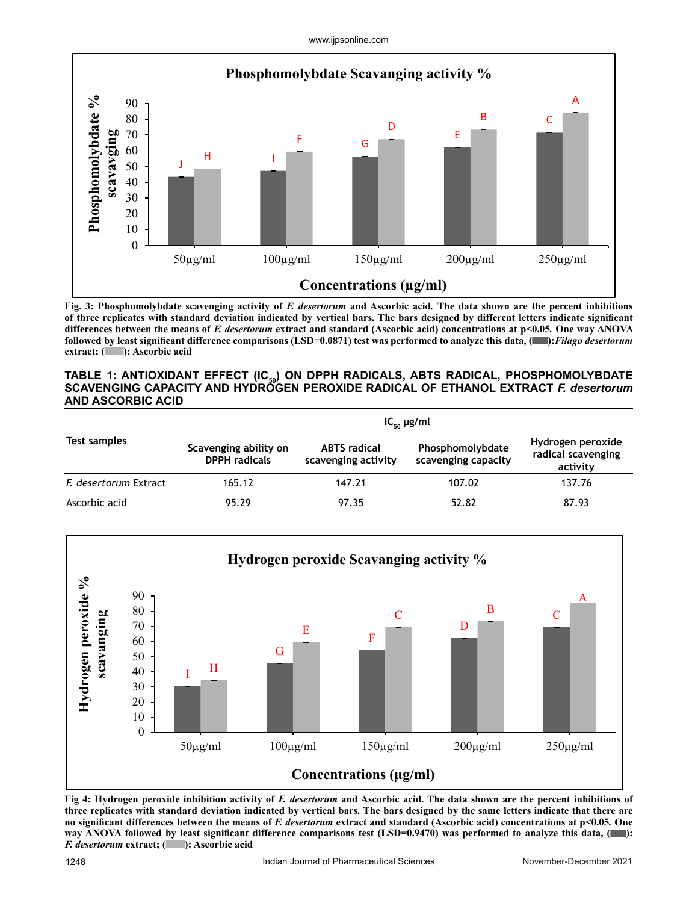www.ijpsonline.com



**Fig. 3: Phosphomolybdate scavenging activity of** *F. desertorum* **and Ascorbic acid***.* **The data shown are the percent inhibitions of three replicates with standard deviation indicated by vertical bars. The bars designed by different letters indicate significant differences between the means of** *F. desertorum* **extract and standard (Ascorbic acid) concentrations at p<0.05***.* **One way ANOVA followed by least significant difference comparisons (LSD**=**0.0871) test was performed to analyze this data, ( ):***Filago desertorum*  **extract; ( ): Ascorbic acid**

#### TABLE 1: ANTIOXIDANT EFFECT (IC<sub>50</sub>) ON DPPH RADICALS, ABTS RADICAL, PHOSPHOMOLYBDATE **SCAVENGING CAPACITY AND HYDROGEN PEROXIDE RADICAL OF ETHANOL EXTRACT** *F. desertorum* **AND ASCORBIC ACID**

|                       | $IC_{50}$ µg/ml                               |                                            |                                         |                                                     |  |
|-----------------------|-----------------------------------------------|--------------------------------------------|-----------------------------------------|-----------------------------------------------------|--|
| Test samples          | Scavenging ability on<br><b>DPPH</b> radicals | <b>ABTS</b> radical<br>scavenging activity | Phosphomolybdate<br>scavenging capacity | Hydrogen peroxide<br>radical scavenging<br>activity |  |
| F. desertorum Extract | 165.12                                        | 147.21                                     | 107.02                                  | 137.76                                              |  |
| Ascorbic acid         | 95.29                                         | 97.35                                      | 52.82                                   | 87.93                                               |  |



Fig 4: Hydrogen peroxide inhibition activity of *F. desertorum* and Ascorbic acid. The data shown are the percent inhibitions of **three replicates with standard deviation indicated by vertical bars. The bars designed by the same letters indicate that there are no significant differences between the means of** *F. desertorum* **extract and standard (Ascorbic acid) concentrations at p<0.05***.* **One way ANOVA followed by least significant difference comparisons test (LSD=0.9470) was performed to analyze this data, ( ):**  *F. desertorum* **extract; ( ): Ascorbic acid**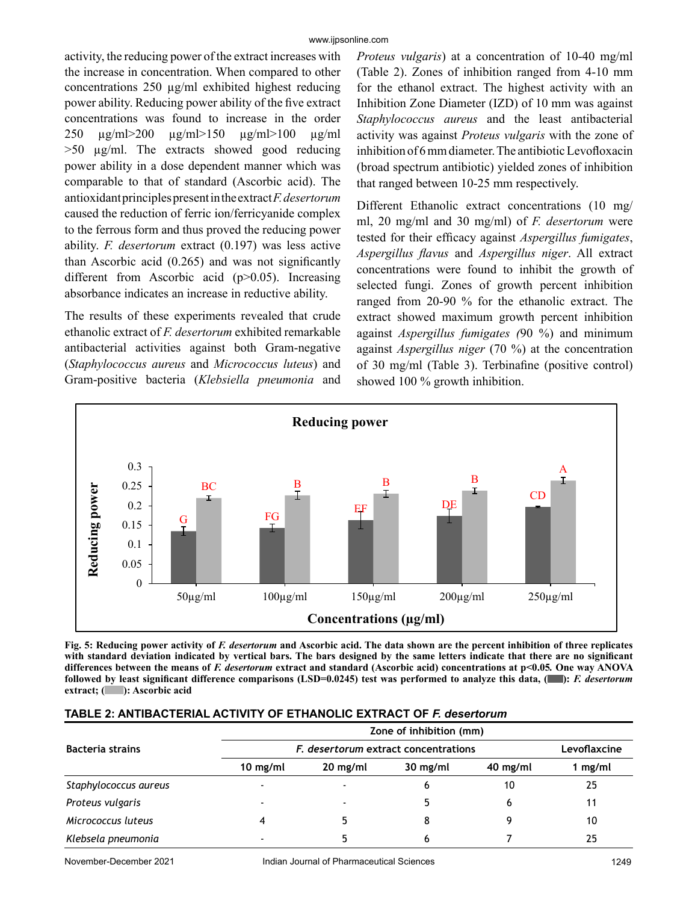activity, the reducing power of the extract increases with the increase in concentration. When compared to other concentrations 250 µg/ml exhibited highest reducing power ability. Reducing power ability of the five extract concentrations was found to increase in the order 250 µg/ml>200 µg/ml>150 µg/ml>100 µg/ml >50 µg/ml. The extracts showed good reducing power ability in a dose dependent manner which was comparable to that of standard (Ascorbic acid). The antioxidant principles present in the extract *F. desertorum* caused the reduction of ferric ion/ferricyanide complex to the ferrous form and thus proved the reducing power ability. *F. desertorum* extract (0.197) was less active than Ascorbic acid (0.265) and was not significantly different from Ascorbic acid (p>0.05). Increasing absorbance indicates an increase in reductive ability.

The results of these experiments revealed that crude ethanolic extract of *F. desertorum* exhibited remarkable antibacterial activities against both Gram-negative (*Staphylococcus aureus* and *Micrococcus luteus*) and Gram-positive bacteria (*Klebsiella pneumonia* and *Proteus vulgaris*) at a concentration of 10-40 mg/ml (Table 2). Zones of inhibition ranged from 4-10 mm for the ethanol extract. The highest activity with an Inhibition Zone Diameter (IZD) of 10 mm was against *Staphylococcus aureus* and the least antibacterial activity was against *Proteus vulgaris* with the zone of inhibition of 6 mm diameter. The antibiotic Levofloxacin (broad spectrum antibiotic) yielded zones of inhibition that ranged between 10-25 mm respectively.

Different Ethanolic extract concentrations (10 mg/ ml, 20 mg/ml and 30 mg/ml) of *F. desertorum* were tested for their efficacy against *Aspergillus fumigates*, *Aspergillus flavus* and *Aspergillus niger*. All extract concentrations were found to inhibit the growth of selected fungi. Zones of growth percent inhibition ranged from 20-90 % for the ethanolic extract. The extract showed maximum growth percent inhibition against *Aspergillus fumigates (*90 %) and minimum against *Aspergillus niger* (70 %) at the concentration of 30 mg/ml (Table 3). Terbinafine (positive control) showed 100 % growth inhibition.



Fig. 5: Reducing power activity of *F. desertorum* and Ascorbic acid. The data shown are the percent inhibition of three replicates **with standard deviation indicated by vertical bars. The bars designed by the same letters indicate that there are no significant differences between the means of** *F. desertorum* **extract and standard (Ascorbic acid) concentrations at p<0.05***.* **One way ANOVA followed by least significant difference comparisons (LSD=0.0245) test was performed to analyze this data, ( ):** *F. desertorum*  **extract; ( ): Ascorbic acid**

|                         | Zone of inhibition (mm)              |            |            |            |              |  |
|-------------------------|--------------------------------------|------------|------------|------------|--------------|--|
| <b>Bacteria strains</b> | F. desertorum extract concentrations |            |            |            | Levoflaxcine |  |
|                         | $10$ mg/ml                           | $20$ mg/ml | $30$ mg/ml | $40$ mg/ml | 1 $mg/ml$    |  |
| Staphylococcus aureus   |                                      |            | 6          | 10         | 25           |  |
| Proteus vulgaris        |                                      |            |            | 6          | 11           |  |
| Micrococcus luteus      |                                      |            |            |            | 10           |  |
| Klebsela pneumonia      |                                      |            |            |            | 25           |  |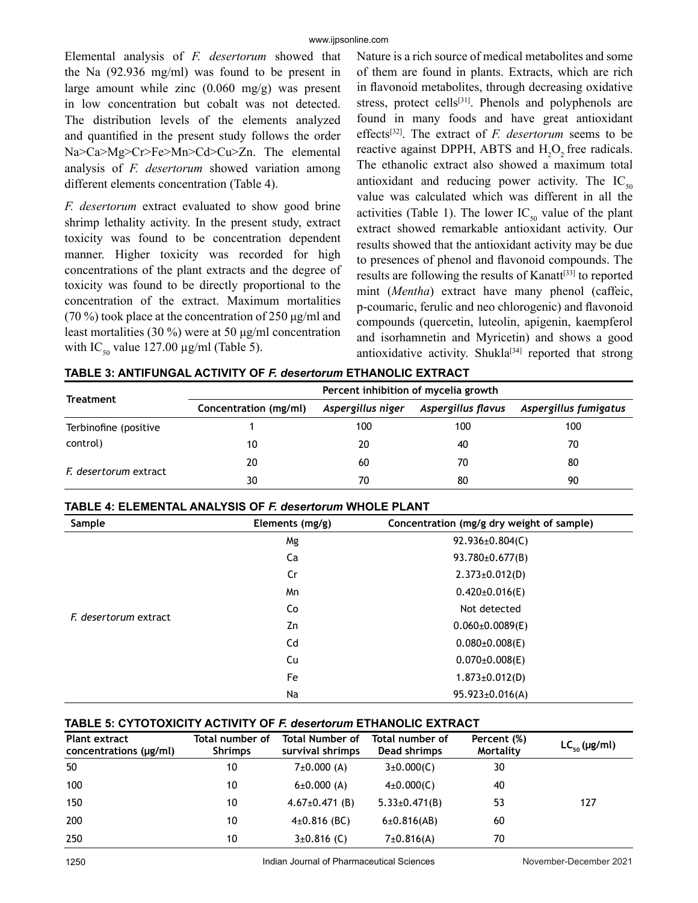Elemental analysis of *F. desertorum* showed that the Na (92.936 mg/ml) was found to be present in large amount while zinc (0.060 mg/g) was present in low concentration but cobalt was not detected. The distribution levels of the elements analyzed and quantified in the present study follows the order Na>Ca>Mg>Cr>Fe>Mn>Cd>Cu>Zn. The elemental analysis of *F. desertorum* showed variation among different elements concentration (Table 4).

*F. desertorum* extract evaluated to show good brine shrimp lethality activity. In the present study, extract toxicity was found to be concentration dependent manner. Higher toxicity was recorded for high concentrations of the plant extracts and the degree of toxicity was found to be directly proportional to the concentration of the extract. Maximum mortalities (70 %) took place at the concentration of 250 μg/ml and least mortalities (30 %) were at 50 μg/ml concentration with IC<sub>50</sub> value 127.00  $\mu$ g/ml (Table 5).

Nature is a rich source of medical metabolites and some of them are found in plants. Extracts, which are rich in flavonoid metabolites, through decreasing oxidative stress, protect cells<sup>[31]</sup>. Phenols and polyphenols are found in many foods and have great antioxidant effects[32]. The extract of *F. desertorum* seems to be reactive against DPPH, ABTS and  $H_2O_2$  free radicals. The ethanolic extract also showed a maximum total antioxidant and reducing power activity. The  $IC_{50}$ value was calculated which was different in all the activities (Table 1). The lower  $IC_{50}$  value of the plant extract showed remarkable antioxidant activity. Our results showed that the antioxidant activity may be due to presences of phenol and flavonoid compounds. The results are following the results of Kanatt<sup>[33]</sup> to reported mint (*Mentha*) extract have many phenol (caffeic, p-coumaric, ferulic and neo chlorogenic) and flavonoid compounds (quercetin, luteolin, apigenin, kaempferol and isorhamnetin and Myricetin) and shows a good antioxidative activity. Shukla<sup>[34]</sup> reported that strong

| TABLE 3: ANTIFUNGAL ACTIVITY OF F. desertorum ETHANOLIC EXTRACT |  |  |
|-----------------------------------------------------------------|--|--|
|                                                                 |  |  |

|                       | Percent inhibition of mycelia growth |                   |                    |                       |  |
|-----------------------|--------------------------------------|-------------------|--------------------|-----------------------|--|
| Treatment             | Concentration (mg/ml)                | Aspergillus niger | Aspergillus flavus | Aspergillus fumigatus |  |
| Terbinofine (positive |                                      | 100               | 100                | 100                   |  |
| control)              | 10                                   | 20                | 40                 | 70                    |  |
| F. desertorum extract | 20                                   | 60                | 70                 | 80                    |  |
|                       | 30                                   | 70                | 80                 | 90                    |  |

| Sample                | Elements (mg/g) | Concentration (mg/g dry weight of sample) |  |  |
|-----------------------|-----------------|-------------------------------------------|--|--|
|                       | Mg              | 92.936±0.804(C)                           |  |  |
|                       | Ca              | $93.780 \pm 0.677$ (B)                    |  |  |
|                       | Cr              | $2.373 \pm 0.012$ (D)                     |  |  |
|                       | Mn              | $0.420 \pm 0.016$ (E)                     |  |  |
|                       | Co              | Not detected                              |  |  |
| F. desertorum extract | Zn              | $0.060\pm0.0089$ (E)                      |  |  |
|                       | Cd              | $0.080 \pm 0.008$ (E)                     |  |  |
|                       | Cu              | $0.070\pm0.008(E)$                        |  |  |
|                       | Fe              | $1.873 \pm 0.012$ (D)                     |  |  |
|                       | Na              | $95.923 \pm 0.016(A)$                     |  |  |

#### **TABLE 4: ELEMENTAL ANALYSIS OF** *F. desertorum* **WHOLE PLANT**

#### **TABLE 5: CYTOTOXICITY ACTIVITY OF** *F. desertorum* **ETHANOLIC EXTRACT**

| <b>Plant extract</b><br>concentrations (µg/ml) | Total number of<br><b>Shrimps</b> | <b>Total Number of</b><br>survival shrimps | Total number of<br>Dead shrimps | Percent (%)<br>Mortality | $LC_{50}$ (µg/ml) |
|------------------------------------------------|-----------------------------------|--------------------------------------------|---------------------------------|--------------------------|-------------------|
| 50                                             | 10                                | $7\pm0.000(A)$                             | $3\pm0.000(C)$                  | 30                       |                   |
| 100                                            | 10                                | $6\pm0.000(A)$                             | $4\pm0.000(C)$                  | 40                       |                   |
| 150                                            | 10                                | $4.67 \pm 0.471$ (B)                       | $5.33 \pm 0.471$ (B)            | 53                       | 127               |
| 200                                            | 10                                | $4\pm0.816$ (BC)                           | 6±0.816(AB)                     | 60                       |                   |
| 250                                            | 10                                | $3\pm0.816$ (C)                            | 7±0.816(A)                      | 70                       |                   |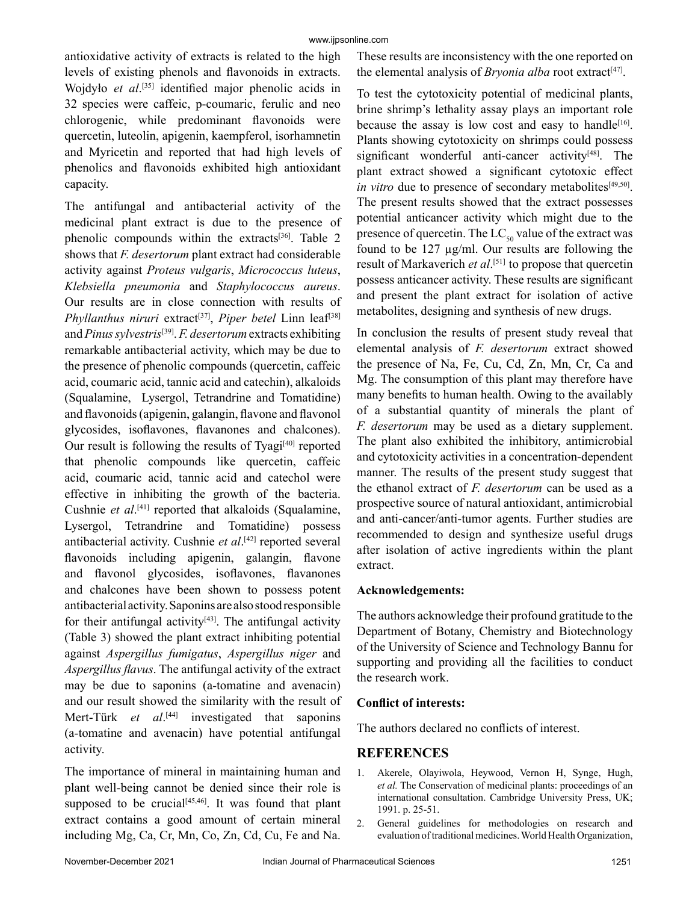antioxidative activity of extracts is related to the high levels of existing phenols and flavonoids in extracts. Wojdyło *et al*.<sup>[35]</sup> identified major phenolic acids in 32 species were caffeic, p-coumaric, ferulic and neo chlorogenic, while predominant flavonoids were quercetin, luteolin, apigenin, kaempferol, isorhamnetin and Myricetin and reported that had high levels of phenolics and flavonoids exhibited high antioxidant capacity.

The antifungal and antibacterial activity of the medicinal plant extract is due to the presence of phenolic compounds within the extracts<sup>[36]</sup>. Table 2 shows that *F. desertorum* plant extract had considerable activity against *Proteus vulgaris*, *Micrococcus luteus*, *Klebsiella pneumonia* and *Staphylococcus aureus*. Our results are in close connection with results of *Phyllanthus niruri* extract<sup>[37]</sup>, *Piper betel* Linn leaf<sup>[38]</sup> and *Pinus sylvestris*[39]. *F. desertorum* extracts exhibiting remarkable antibacterial activity, which may be due to the presence of phenolic compounds (quercetin, caffeic acid, coumaric acid, tannic acid and catechin), alkaloids (Squalamine, Lysergol, Tetrandrine and Tomatidine) and flavonoids (apigenin, galangin, flavone and flavonol glycosides, isoflavones, flavanones and chalcones). Our result is following the results of Tyagi $[40]$  reported that phenolic compounds like quercetin, caffeic acid, coumaric acid, tannic acid and catechol were effective in inhibiting the growth of the bacteria. Cushnie *et al*. [41] reported that alkaloids (Squalamine, Lysergol, Tetrandrine and Tomatidine) possess antibacterial activity. Cushnie *et al*. [42] reported several flavonoids including apigenin, galangin, flavone and flavonol glycosides, isoflavones, flavanones and chalcones have been shown to possess potent antibacterial activity. Saponins are also stood responsible for their antifungal activity $[43]$ . The antifungal activity (Table 3) showed the plant extract inhibiting potential against *Aspergillus fumigatus*, *Aspergillus niger* and *Aspergillus flavus*. The antifungal activity of the extract may be due to saponins (a*-*tomatine and avenacin) and our result showed the similarity with the result of Mert-Türk *et al*.<sup>[44]</sup> investigated that saponins (a*-*tomatine and avenacin) have potential antifungal activity.

The importance of mineral in maintaining human and plant well-being cannot be denied since their role is supposed to be crucial $[45,46]$ . It was found that plant extract contains a good amount of certain mineral including Mg, Ca, Cr, Mn, Co, Zn, Cd, Cu, Fe and Na. These results are inconsistency with the one reported on the elemental analysis of *Bryonia alba* root extract<sup>[47]</sup>.

To test the cytotoxicity potential of medicinal plants, brine shrimp's lethality assay plays an important role because the assay is low cost and easy to handle<sup>[16]</sup>. Plants showing cytotoxicity on shrimps could possess significant wonderful anti-cancer activity $[48]$ . The plant extract showed a significant cytotoxic effect *in vitro* due to presence of secondary metabolites<sup>[49,50]</sup>. The present results showed that the extract possesses potential anticancer activity which might due to the presence of quercetin. The  $LC_{50}$  value of the extract was found to be 127 µg/ml. Our results are following the result of Markaverich *et al*. [51] to propose that quercetin possess anticancer activity. These results are significant and present the plant extract for isolation of active metabolites, designing and synthesis of new drugs.

In conclusion the results of present study reveal that elemental analysis of *F. desertorum* extract showed the presence of Na, Fe, Cu, Cd, Zn, Mn, Cr, Ca and Mg. The consumption of this plant may therefore have many benefits to human health. Owing to the availably of a substantial quantity of minerals the plant of *F. desertorum* may be used as a dietary supplement. The plant also exhibited the inhibitory, antimicrobial and cytotoxicity activities in a concentration-dependent manner. The results of the present study suggest that the ethanol extract of *F. desertorum* can be used as a prospective source of natural antioxidant, antimicrobial and anti-cancer/anti-tumor agents. Further studies are recommended to design and synthesize useful drugs after isolation of active ingredients within the plant extract.

## **Acknowledgements:**

The authors acknowledge their profound gratitude to the Department of Botany, Chemistry and Biotechnology of the University of Science and Technology Bannu for supporting and providing all the facilities to conduct the research work.

## **Conflict of interests:**

The authors declared no conflicts of interest.

## **REFERENCES**

- 1. Akerele, Olayiwola, Heywood, Vernon H, Synge, Hugh, *et al.* The Conservation of medicinal plants: proceedings of an international consultation. Cambridge University Press, UK; 1991. p. 25-51.
- 2. General guidelines for methodologies on research and evaluation of traditional medicines. World Health Organization,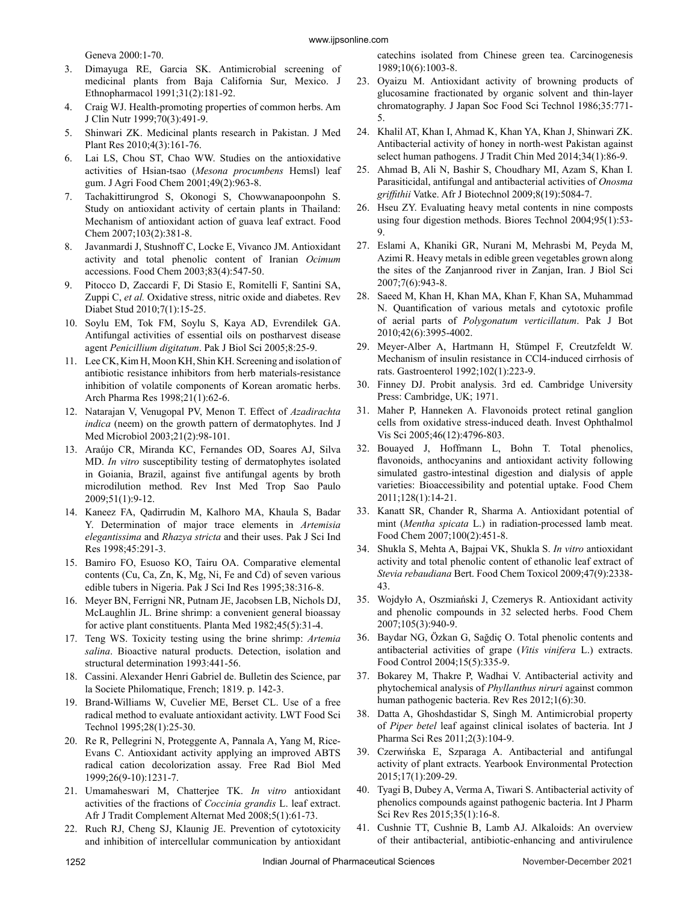Geneva 2000:1-70.

- 3. Dimayuga RE, Garcia SK. Antimicrobial screening of medicinal plants from Baja California Sur, Mexico. J Ethnopharmacol 1991;31(2):181-92.
- 4. Craig WJ. Health-promoting properties of common herbs. Am J Clin Nutr 1999;70(3):491-9.
- 5. Shinwari ZK. Medicinal plants research in Pakistan. J Med Plant Res 2010;4(3):161-76.
- 6. Lai LS, Chou ST, Chao WW. Studies on the antioxidative activities of Hsian-tsao (*Mesona procumbens* Hemsl) leaf gum. J Agri Food Chem 2001;49(2):963-8.
- 7. Tachakittirungrod S, Okonogi S, Chowwanapoonpohn S. Study on antioxidant activity of certain plants in Thailand: Mechanism of antioxidant action of guava leaf extract. Food Chem 2007;103(2):381-8.
- 8. Javanmardi J, Stushnoff C, Locke E, Vivanco JM. Antioxidant activity and total phenolic content of Iranian *Ocimum*  accessions. Food Chem 2003;83(4):547-50.
- 9. Pitocco D, Zaccardi F, Di Stasio E, Romitelli F, Santini SA, Zuppi C, *et al.* Oxidative stress, nitric oxide and diabetes. Rev Diabet Stud 2010;7(1):15-25.
- 10. Soylu EM, Tok FM, Soylu S, Kaya AD, Evrendilek GA. Antifungal activities of essential oils on postharvest disease agent *Penicillium digitatum*. Pak J Biol Sci 2005;8:25-9.
- 11. Lee CK, Kim H, Moon KH, Shin KH. Screening and isolation of antibiotic resistance inhibitors from herb materials-resistance inhibition of volatile components of Korean aromatic herbs. Arch Pharma Res 1998;21(1):62-6.
- 12. Natarajan V, Venugopal PV, Menon T. Effect of *Azadirachta indica* (neem) on the growth pattern of dermatophytes. Ind J Med Microbiol 2003;21(2):98-101.
- 13. Araújo CR, Miranda KC, Fernandes OD, Soares AJ, Silva MD. *In vitro* susceptibility testing of dermatophytes isolated in Goiania, Brazil, against five antifungal agents by broth microdilution method. Rev Inst Med Trop Sao Paulo 2009;51(1):9-12.
- 14. Kaneez FA, Qadirrudin M, Kalhoro MA, Khaula S, Badar Y. Determination of major trace elements in *Artemisia elegantissima* and *Rhazya stricta* and their uses. Pak J Sci Ind Res 1998;45:291-3.
- 15. Bamiro FO, Esuoso KO, Tairu OA. Comparative elemental contents (Cu, Ca, Zn, K, Mg, Ni, Fe and Cd) of seven various edible tubers in Nigeria. Pak J Sci Ind Res 1995;38:316-8.
- 16. Meyer BN, Ferrigni NR, Putnam JE, Jacobsen LB, Nichols DJ, McLaughlin JL. Brine shrimp: a convenient general bioassay for active plant constituents. Planta Med 1982;45(5):31-4.
- 17. Teng WS. Toxicity testing using the brine shrimp: *Artemia salina*. Bioactive natural products. Detection, isolation and structural determination 1993:441-56.
- 18. Cassini. Alexander Henri Gabriel de. Bulletin des Science, par la Societe Philomatique, French; 1819. p. 142-3.
- 19. Brand-Williams W, Cuvelier ME, Berset CL. Use of a free radical method to evaluate antioxidant activity. LWT Food Sci Technol 1995;28(1):25-30.
- 20. Re R, Pellegrini N, Proteggente A, Pannala A, Yang M, Rice-Evans C. Antioxidant activity applying an improved ABTS radical cation decolorization assay. Free Rad Biol Med 1999;26(9-10):1231-7.
- 21. Umamaheswari M, Chatterjee TK. *In vitro* antioxidant activities of the fractions of *Coccinia grandis* L. leaf extract. Afr J Tradit Complement Alternat Med 2008;5(1):61-73.
- 22. Ruch RJ, Cheng SJ, Klaunig JE. Prevention of cytotoxicity and inhibition of intercellular communication by antioxidant

catechins isolated from Chinese green tea. Carcinogenesis 1989;10(6):1003-8.

- 23. Oyaizu M. Antioxidant activity of browning products of glucosamine fractionated by organic solvent and thin-layer chromatography. J Japan Soc Food Sci Technol 1986;35:771- 5.
- 24. Khalil AT, Khan I, Ahmad K, Khan YA, Khan J, Shinwari ZK. Antibacterial activity of honey in north-west Pakistan against select human pathogens. J Tradit Chin Med 2014;34(1):86-9.
- 25. Ahmad B, Ali N, Bashir S, Choudhary MI, Azam S, Khan I. Parasiticidal, antifungal and antibacterial activities of *Onosma griffithii* Vatke. Afr J Biotechnol 2009;8(19):5084-7.
- 26. Hseu ZY. Evaluating heavy metal contents in nine composts using four digestion methods. Biores Technol 2004;95(1):53- 9.
- 27. Eslami A, Khaniki GR, Nurani M, Mehrasbi M, Peyda M, Azimi R. Heavy metals in edible green vegetables grown along the sites of the Zanjanrood river in Zanjan, Iran. J Biol Sci 2007;7(6):943-8.
- 28. Saeed M, Khan H, Khan MA, Khan F, Khan SA, Muhammad N. Quantification of various metals and cytotoxic profile of aerial parts of *Polygonatum verticillatum*. Pak J Bot 2010;42(6):3995-4002.
- 29. Meyer-Alber A, Hartmann H, Stümpel F, Creutzfeldt W. Mechanism of insulin resistance in CCl4-induced cirrhosis of rats. Gastroenterol 1992;102(1):223-9.
- 30. Finney DJ. Probit analysis. 3rd ed. Cambridge University Press: Cambridge, UK; 1971.
- 31. Maher P, Hanneken A. Flavonoids protect retinal ganglion cells from oxidative stress-induced death. Invest Ophthalmol Vis Sci 2005;46(12):4796-803.
- 32. Bouayed J, Hoffmann L, Bohn T. Total phenolics, flavonoids, anthocyanins and antioxidant activity following simulated gastro-intestinal digestion and dialysis of apple varieties: Bioaccessibility and potential uptake. Food Chem 2011;128(1):14-21.
- 33. Kanatt SR, Chander R, Sharma A. Antioxidant potential of mint (*Mentha spicata* L.) in radiation-processed lamb meat. Food Chem 2007;100(2):451-8.
- 34. Shukla S, Mehta A, Bajpai VK, Shukla S. *In vitro* antioxidant activity and total phenolic content of ethanolic leaf extract of *Stevia rebaudiana* Bert. Food Chem Toxicol 2009;47(9):2338- 43.
- 35. Wojdyło A, Oszmiański J, Czemerys R. Antioxidant activity and phenolic compounds in 32 selected herbs. Food Chem 2007;105(3):940-9.
- 36. Baydar NG, Özkan G, Sağdiç O. Total phenolic contents and antibacterial activities of grape (*Vitis vinifera* L.) extracts. Food Control 2004;15(5):335-9.
- 37. Bokarey M, Thakre P, Wadhai V. Antibacterial activity and phytochemical analysis of *Phyllanthus niruri* against common human pathogenic bacteria. Rev Res 2012;1(6):30.
- 38. Datta A, Ghoshdastidar S, Singh M. Antimicrobial property of *Piper betel* leaf against clinical isolates of bacteria. Int J Pharma Sci Res 2011;2(3):104-9.
- 39. Czerwińska E, Szparaga A. Antibacterial and antifungal activity of plant extracts. Yearbook Environmental Protection 2015;17(1):209-29.
- 40. Tyagi B, Dubey A, Verma A, Tiwari S. Antibacterial activity of phenolics compounds against pathogenic bacteria. Int J Pharm Sci Rev Res 2015;35(1):16-8.
- 41. Cushnie TT, Cushnie B, Lamb AJ. Alkaloids: An overview of their antibacterial, antibiotic-enhancing and antivirulence